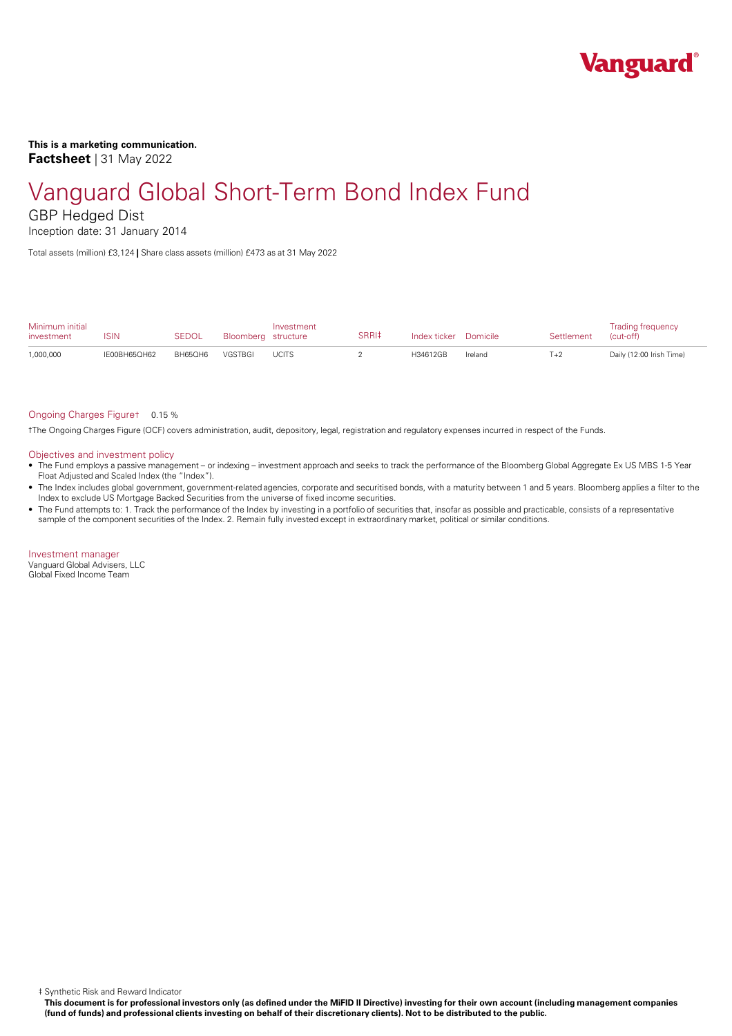

**This is a marketing communication. Factsheet** | 31 May 2022

# Vanguard Global Short-Term Bond Index Fund

GBP Hedged Dist

Inception date: 31 January 2014

Total assets (million) £3,124 **|** Share class assets (million) £473 as at 31 May 2022

| Minimum initial<br>investment | ISIN         | <b>SEDOL</b> | Bloomberg structure | Investment   | SRRI‡ | Index ticker Domicile |         | Settlement | <b>Trading frequency</b><br>(cut-off) |
|-------------------------------|--------------|--------------|---------------------|--------------|-------|-----------------------|---------|------------|---------------------------------------|
| 1,000,000                     | IF00BH65OH62 | BH65OH6      | VGSTBGI             | <b>UCITS</b> |       | H34612GB              | Ireland | $T+2$      | Daily (12:00 Irish Time)              |

#### Ongoing Charges Figure† 0.15 %

†The Ongoing Charges Figure (OCF) covers administration, audit, depository, legal, registration and regulatory expenses incurred in respect of the Funds.

#### Objectives and investment policy

- The Fund employs a passive management orindexing investment approach and seeks to track the performance of the Bloomberg Global Aggregate Ex US MBS 1-5 Year Float Adjusted and Scaled Index (the "Index").
- The Index includes global government, government-related agencies, corporate and securitised bonds, with a maturity between 1 and 5 years. Bloomberg applies a filter to the Index to exclude US Mortgage Backed Securities from the universe of fixed income securities.
- The Fund attempts to: 1. Track the performance of the Index by investing in a portfolio of securities that, insofar as possible and practicable, consists of a representative sample of the component securities of the Index. 2. Remain fully invested except in extraordinary market, political or similar conditions.

Investment manager Vanguard Global Advisers, LLC Global Fixed Income Team

‡ Synthetic Risk and Reward Indicator

This document is for professional investors only (as defined under the MiFID II Directive) investing for their own account (including management companies (fund of funds) and professional clients investing on behalf of their discretionary clients). Not to be distributed to the public.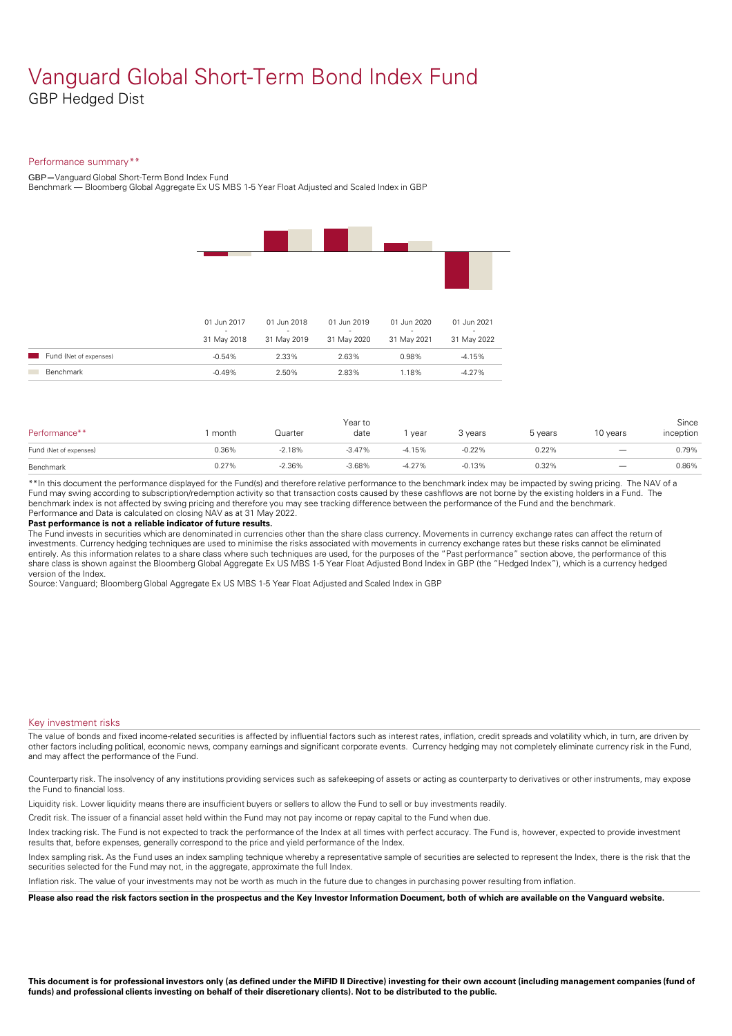### Vanguard Global Short-Term Bond Index Fund GBP Hedged Dist

#### Performance summary\*\*

GBP**—**Vanguard Global Short-Term Bond Index Fund

Benchmark — Bloomberg Global Aggregate Ex US MBS 1-5 Year Float Adjusted and Scaled Index in GBP

|                        | 01 Jun 2017 | 01 Jun 2018 | 01 Jun 2019 | 01 Jun 2020 | 01 Jun 2021 |
|------------------------|-------------|-------------|-------------|-------------|-------------|
|                        | 31 May 2018 | 31 May 2019 | 31 May 2020 | 31 May 2021 | 31 May 2022 |
| Fund (Net of expenses) | $-0.54%$    | 2.33%       | 2.63%       | 0.98%       | $-4.15%$    |
| Benchmark              | $-0.49%$    | 2.50%       | 2.83%       | 1.18%       | $-4.27%$    |
|                        |             |             |             |             |             |

| Performance**          | month | Quarter  | Year to<br>date | year     | 3 years  | 5 years | 10 years                 | Since<br>inception |
|------------------------|-------|----------|-----------------|----------|----------|---------|--------------------------|--------------------|
| Fund (Net of expenses) | 0.36% | $-2.18%$ | $-3.47%$        | $-4.15%$ | $-0.22%$ | 0.22%   |                          | 0.79%              |
| Benchmark              | 0.27% | $-2.36%$ | $-3.68%$        | $-4.27%$ | $-0.13%$ | 0.32%   | $\overline{\phantom{m}}$ | 0.86%              |

\*\*In this document the performance displayed for the Fund(s) and therefore relative performance to the benchmark index may be impacted by swing pricing. The NAV of a Fund may swing according to subscription/redemption activity so that transaction costs caused by these cashflows are notborne by the existing holders in a Fund. The benchmark index is not affected by swing pricing and therefore you may see tracking difference between the performance of the Fund and the benchmark. Performance and Data is calculated on closing NAV as at 31 May 2022.

#### **Past performance is not a reliable indicator of future results.**

The Fund invests in securities which are denominated in currencies other than the share class currency. Movements in currency exchange rates can affect the return of investments. Currency hedging techniques are used to minimise the risks associated with movements in currency exchange rates but these risks cannot be eliminated entirely. As this information relates to a share class where such techniques are used, for the purposes of the "Past performance" section above, the performance of this share class is shown against the Bloomberg Global Aggregate Ex US MBS 1-5 Year Float Adjusted Bond Index in GBP (the "Hedged Index"), which is a currency hedged version of the Index.

Source: Vanguard; Bloomberg Global Aggregate Ex US MBS 1-5 Year Float Adjusted and Scaled Index in GBP

#### Key investment risks

The value of bonds and fixed income-related securities is affected by influential factors such as interest rates, inflation, credit spreads and volatility which, in turn, are driven by other factors including political, economic news, company earnings and significant corporate events. Currency hedging may not completely eliminate currency risk in the Fund, and may affect the performance of the Fund.

Counterparty risk. The insolvency ofany institutions providing services such as safekeeping of assets or acting as counterparty to derivatives or other instruments, may expose the Fund to financial loss.

Liquidity risk. Lower liquidity means there are insufficient buyers or sellers to allow the Fund to sell or buy investments readily.

Credit risk. The issuer of a financial asset held within the Fund may not pay income or repay capital to the Fund when due.

Index tracking risk.The Fund is not expected to track the performance of the Index at all times with perfect accuracy. The Fund is, however, expected to provide investment results that, before expenses, generally correspond to the price and yield performance of the Index.

Index sampling risk. As the Fund uses an index sampling technique whereby a representative sample of securities are selected to represent the Index, there is the risk that the securities selected for the Fund may not, in the aggregate, approximate the full Index.

Inflation risk. The value of your investments may not be worth as much in the future due to changes in purchasing power resulting from inflation.

Please also read the risk factors section in the prospectus and the Key Investor Information Document, both of which are available on the Vanguard website.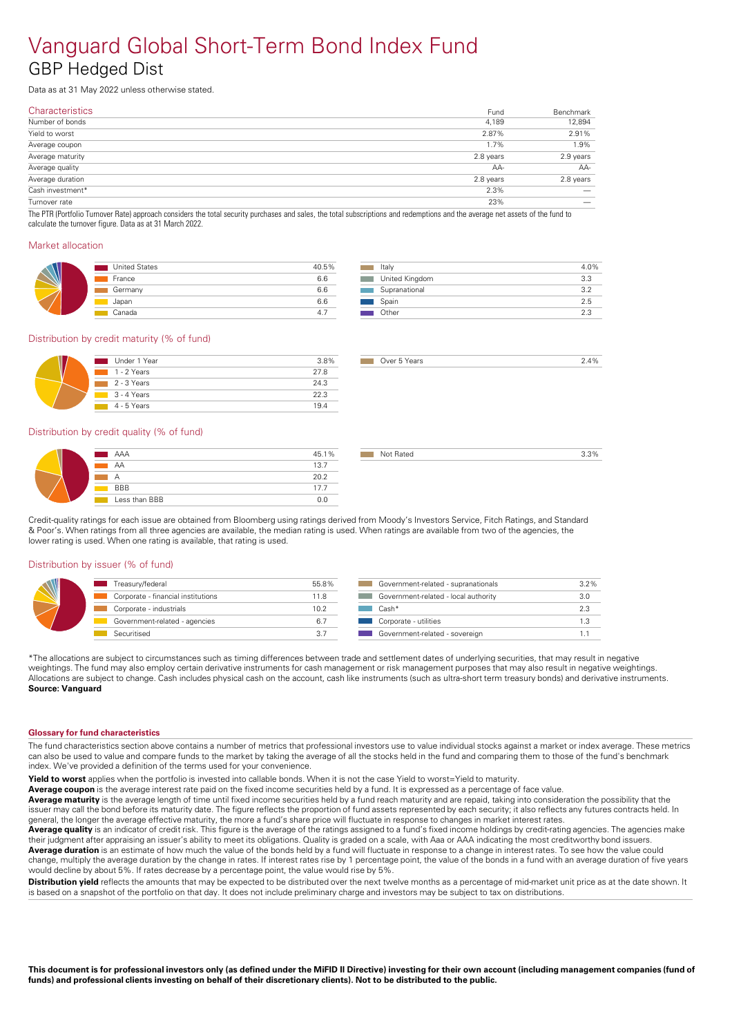### Vanguard Global Short-Term Bond Index Fund GBP Hedged Dist

Data as at 31 May 2022 unless otherwise stated.

| <b>Characteristics</b> | Fund      | Benchmark |
|------------------------|-----------|-----------|
| Number of bonds        | 4,189     | 12,894    |
| Yield to worst         | 2.87%     | 2.91%     |
| Average coupon         | 1.7%      | 1.9%      |
| Average maturity       | 2.8 years | 2.9 years |
| Average quality        | AA-       | AA-       |
| Average duration       | 2.8 years | 2.8 years |
| Cash investment*       | 2.3%      |           |
| Turnover rate          | 23%       |           |

The PTR (Portfolio Turnover Rate) approach considers the total security purchases and sales, the total subscriptions and redemptions and the average net assets of the fund to calculate the turnover figure. Data as at 31 March 2022.

#### Market allocation

| <b>United States</b> | 40.5% |
|----------------------|-------|
| France               | 6.6   |
| Germany              | 6.6   |
| Japan                | 6.6   |
| Canada               | 4.    |

| Italy          | 4.0% |
|----------------|------|
| United Kingdom | 3.3  |
| Supranational  | つつ   |
| Spain          | 2.5  |
| Other          | 23   |

Over 5 Years 2.4%

#### Distribution by credit maturity (% of fund)

| Under 1 Year | 3.8% |
|--------------|------|
| 1 - 2 Years  | 27.8 |
| 2 - 3 Years  | 24.3 |
| 3 - 4 Years  | 22.3 |
| 4 - 5 Years  | 194  |

#### Distribution by credit quality (% of fund)

| AAA           | 45.1% |
|---------------|-------|
| AA            | 13.7  |
| А             | 20.2  |
| <b>BBB</b>    | 17.7  |
| Less than BBB | በ በ   |

Credit-quality ratings for each issue are obtained from Bloomberg using ratings derived from Moody's Investors Service, Fitch Ratings, and Standard & Poor's. When ratings from all three agencies are available, the median rating is used. When ratings are available from two of the agencies, the lower rating is used. When one rating is available, that rating is used.

#### Distribution by issuer (% of fund)

| Treasury/federal                   | 55.8% | Government-related - supranationals  | 3.2% |
|------------------------------------|-------|--------------------------------------|------|
| Corporate - financial institutions | 11.8  | Government-related - local authority | 3.0  |
| Corporate - industrials            | 10.2  | Cash*                                | 2.3  |
| Government-related - agencies      | 6.7   | Corporate - utilities                |      |
| Securitised                        | 3.7   | Government-related - sovereign       |      |

\*The allocations are subject to circumstances such as timing differences between trade and settlement dates of underlying securities, that may result in negative weightings. The fund may also employ certain derivative instruments for cash management or risk management purposes that may also result in negative weightings. Allocations are subject to change. Cash includes physical cash on the account, cash like instruments (such as ultra-short term treasury bonds) and derivative instruments. **Source: Vanguard** 

#### **Glossary for fund characteristics**

The fund characteristics section above contains a number of metrics that professional investors use to value individual stocks against a market or index average. These metrics can also be used to value and compare funds to the market by taking the average of all the stocks held in the fund and comparing them to those of the fund's benchmark index. We've provided a definition of the terms used for your convenience.

**Yield to worst** applies when the portfolio is invested into callable bonds. When it is not the case Yield to worst=Yield to maturity.

Average coupon is the average interest rate paid on the fixed income securities held by a fund. It is expressed as a percentage of face value.

**Average maturity** is the average length of time until fixed income securities held by a fund reach maturity and are repaid, taking into consideration the possibility that the issuer may call the bond before its maturity date. The figure reflects the proportion of fund assets represented by each security; it also reflects any futures contracts held. In general, the longer the average effective maturity, the more a fund's share price will fluctuate in response to changes in market interest rates.

Average quality is an indicator of credit risk. This figure is the average of the ratings assigned to a fund's fixed income holdings by credit-rating agencies. The agencies make their judgment after appraising an issuer's ability to meet its obligations. Quality is graded on a scale, with Aaa orAAA indicating the most creditworthy bond issuers. **Average duration** is an estimate of how much the value of the bonds held by a fund will fluctuate in response to a change in interest rates. To see how the value could change, multiply the average duration by the change in rates. If interest rates rise by 1 percentage point, the value of the bonds in a fund with an average duration of five years

would decline by about 5%. If rates decrease by a percentage point, the value would rise by 5%. **Distribution vield** reflects the amounts that may be expected to be distributed over the next twelve months as a percentage of mid-market unit price as at the date shown. It is based on a snapshot of the portfolio on that day. It does not include preliminary charge and investors may be subject to tax on distributions.

This document is for professional investors only (as defined under the MiFID II Directive) investing for their own account (including management companies (fund of funds) and professional clients investing on behalf of their discretionary clients). Not to be distributed to the public.

| Government-related - supranationals      | 3.2% |
|------------------------------------------|------|
| Government-related - local authority     | 3.0  |
| $Cash*$                                  | 2.3  |
| Corporate - utilities<br><b>Contract</b> | 1.3  |
|                                          |      |

not Rated 3.3% and 3.3%